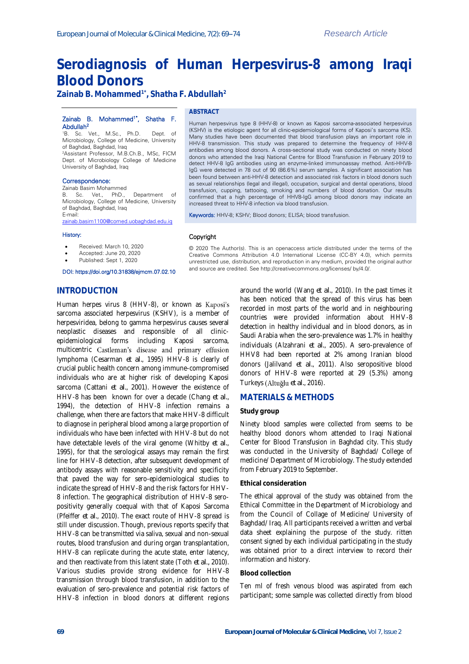# **Serodiagnosis of Human Herpesvirus-8 among Iraqi Blood Donors**

**Zainab B. Mohammed1\*, Shatha F. Abdullah<sup>2</sup>**

#### Zainab B. Mohammed<sup>1\*</sup>, Shatha F. Abdullah<sup>2</sup>

<sup>1</sup>B. Sc. Vet., M.Sc., Ph.D. Dept. of Microbiology, College of Medicine, University of Baghdad, Baghdad, Iraq <sup>2</sup>Assistant Professor, M.B.Ch.B., MSc, FICM Dept. of Microbiology College of Medicine University of Baghdad, Iraq

Correspondence:

## Zainab Basim Mohammed

B. Sc. Vet., PhD., Department of Microbiology, College of Medicine, University of Baghdad, Baghdad, Iraq E-mail:

[zainab.basim1100@comed.uobaghdad.edu.iq](mailto:zainab.basim1100@comed.uobaghdad.edu.iq)

#### History:

- Received: March 10, 2020
- Accepted: June 20, 2020
- Published: Sept 1, 2020

#### DOI: https://doi.org/10.31838/ejmcm.07.02.10

**ABSTRACT**

Human herpesvirus type 8 (HHV-8) or known as Kaposi sarcoma-associated herpesvirus (KSHV) is the etiologic agent for all clinic-epidemiological forms of Kaposi's sarcoma (KS). Many studies have been documented that blood transfusion plays an important role in HHV-8 transmission. This study was prepared to determine the frequency of HHV-8 antibodies among blood donors. A cross-sectional study was conducted on ninety blood donors who attended the Iraqi National Centre for Blood Transfusion in February 2019 to detect HHV-8 IgG antibodies using an enzyme-linked immunoassay method. Anti-HHV8- IgG were detected in 78 out of 90 (86.6%) serum samples. A significant association has been found between anti-HHV-8 detection and associated risk factors in blood donors such as sexual relationships (legal and illegal), occupation, surgical and dental operations, blood transfusion, cupping, tattooing, smoking and numbers of blood donation. Our results confirmed that a high percentage of HHV8-IgG among blood donors may indicate an increased threat to HHV-8 infection via blood transfusion.

Keywords: HHV-8; KSHV; Blood donors; ELISA; blood transfusion.

## Copyright

© 2020 The Author(s). This is an openaccess article distributed under the terms of the Creative Commons Attribution 4.0 International License (CC-BY 4.0), which permits unrestricted use, distribution, and reproduction in any medium, provided the original author and source are credited. See http://creativecommons.org/licenses/ by/4.0/.

## **INTRODUCTION**

Human herpes virus 8 (HHV-8), or known as Kaposi's sarcoma associated herpesvirus (KSHV), is a member of herpesviridea, belong to gamma herpesvirus causes several neoplastic diseases and responsible of all clinicepidemiological forms including Kaposi sarcoma, multicentric Castleman's disease and primary effusion lymphoma (Cesarman *et al.*, 1995) HHV-8 is clearly of crucial public health concern among immune-compromised individuals who are at higher risk of developing Kaposi sarcoma (Cattani *et al.*, 2001). However the existence of HHV-8 has been known for over a decade (Chang *et al.*, 1994), the detection of HHV-8 infection remains a challenge, when there are factors that make HHV-8 difficult to diagnose in peripheral blood among a large proportion of individuals who have been infected with HHV-8 but do not have detectable levels of the viral genome (Whitby *et al.*, 1995), for that the serological assays may remain the first line for HHV-8 detection, after subsequent development of antibody assays with reasonable sensitivity and specificity that paved the way for sero-epidemiological studies to indicate the spread of HHV-8 and the risk factors for HHV-8 infection. The geographical distribution of HHV-8 seropositivity generally coequal with that of Kaposi Sarcoma (Pfeiffer *et al.*, 2010). The exact route of HHV-8 spread is still under discussion. Though, previous reports specify that HHV-8 can be transmitted via saliva, sexual and non-sexual routes, blood transfusion and during organ transplantation, HHV-8 can replicate during the acute state, enter latency, and then reactivate from this latent state (Toth *et al.,* 2010). Various studies provide strong evidence for HHV-8 transmission through blood transfusion, in addition to the evaluation of sero-prevalence and potential risk factors of HHV-8 infection in blood donors at different regions

around the world (Wang *et al.*, 2010). In the past times it has been noticed that the spread of this virus has been recorded in most parts of the world and in neighbouring countries were provided information about HHV-8 detection in healthy individual and in blood donors, as in Saudi Arabia when the sero-prevalence was 1.7% in healthy individuals (Alzahrani *et al.*, 2005). A sero-prevalence of HHV8 had been reported at 2% among Iranian blood donors (Jalilvand *et al.*, 2011). Also seropositive blood donors of HHV-8 were reported at 29 (5.3%) among Turkeys (Altuğlu et al., 2016).

## **MATERIALS & METHODS**

#### **Study group**

Ninety blood samples were collected from seems to be healthy blood donors whom attended to Iraqi National Center for Blood Transfusion in Baghdad city. This study was conducted in the University of Baghdad/ College of medicine/ Department of Microbiology. The study extended from February 2019 to September.

#### **Ethical consideration**

The ethical approval of the study was obtained from the Ethical Committee in the Department of Microbiology and from the Council of Collage of Medicine/ University of Baghdad/ Iraq. All participants received a written and verbal data sheet explaining the purpose of the study. ritten consent signed by each individual participating in the study was obtained prior to a direct interview to record their information and history.

#### **Blood collection**

Ten ml of fresh venous blood was aspirated from each participant; some sample was collected directly from blood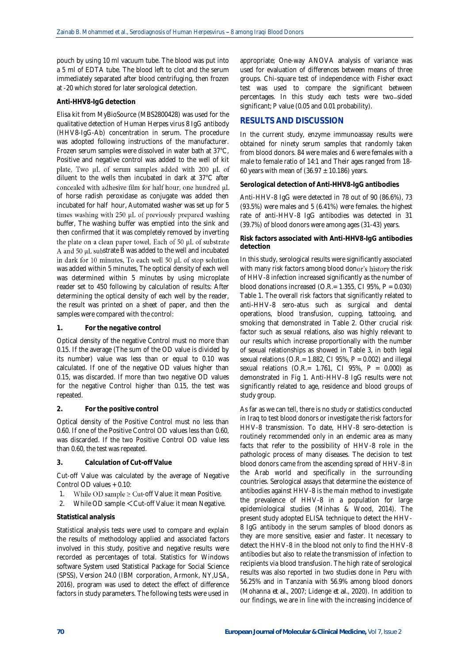pouch by using 10 ml vacuum tube. The blood was put into a 5 ml of EDTA tube. The blood left to clot and the serum immediately separated after blood centrifuging, then frozen at -20 which stored for later serological detection.

#### **Anti-HHV8-IgG detection**

Elisa kit from MyBioSource (MBS2800428) was used for the qualitative detection of Human Herpes virus 8 IgG antibody (HHV8-IgG-Ab) concentration in serum. The procedure was adopted following instructions of the manufacturer. Frozen serum samples were dissolved in water bath at 37°C, Positive and negative control was added to the well of kit plate, Two  $\mu$ L of serum samples added with 200  $\mu$ L of diluent to the wells then incubated in dark at 37°C after concealed with adhesive film for half hour, one hundred µL of horse radish peroxidase as conjugate was added then incubated for half hour, Automated washer was set up for 5 times washing with 250 µL of previously prepared washing buffer, The washing buffer was emptied into the sink and then confirmed that it was completely removed by inverting the plate on a clean paper towel, Each of 50 µL of substrate A and 50  $\mu$ L substrate B was added to the well and incubated in dark for 10 minutes, To each well 50 µL of stop solution was added within 5 minutes, The optical density of each well was determined within 5 minutes by using microplate reader set to 450 following by calculation of results: After determining the optical density of each well by the reader, the result was printed on a sheet of paper, and then the samples were compared with the control:

#### **1. For the negative control**

Optical density of the negative Control must no more than 0.15. If the average (The sum of the OD value is divided by its number) value was less than or equal to 0.10 was calculated. If one of the negative OD values higher than 0.15, was discarded. If more than two negative OD values for the negative Control higher than 0.15, the test was repeated.

## **2. For the positive control**

Optical density of the Positive Control must no less than 0.60. If one of the Positive Control OD values less than 0.60, was discarded. If the two Positive Control OD value less than 0.60, the test was repeated.

## **3. Calculation of Cut-off Value**

Cut-off Value was calculated by the average of Negative Control OD values + 0.10:

- 1. While OD sample  $\geq$  Cut-off Value: it mean Positive.
- 2. While OD sample <Cut-off Value: it mean Negative.

## **Statistical analysis**

Statistical analysis tests were used to compare and explain the results of methodology applied and associated factors involved in this study, positive and negative results were recorded as percentages of total. Statistics for Windows software System used Statistical Package for Social Science (SPSS), Version 24.0 (IBM corporation, Armonk, NY,USA, 2016), program was used to detect the effect of difference factors in study parameters. The following tests were used in

appropriate; One-way ANOVA analysis of variance was used for evaluation of differences between means of three groups. Chi-square test of independence with Fisher exact test was used to compare the significant between percentages. In this study each tests were two-sided significant; P value (0.05 and 0.01 probability).

## **RESULTS AND DISCUSSION**

In the current study, enzyme immunoassay results were obtained for ninety serum samples that randomly taken from blood donors. 84 were males and 6 were females with a male to female ratio of 14:1 and Their ages ranged from 18- 60 years with mean of  $(36.97 \pm 10.186)$  years.

**Serological detection of Anti-HHV8-IgG antibodies**

Anti-HHV-8 IgG were detected in 78 out of 90 (86.6%), 73 (93.5%) were males and 5 (6.41%) were females. the highest rate of anti-HHV-8 IgG antibodies was detected in 31 (39.7%) of blood donors were among ages (31-43) years.

**Risk factors associated with Anti-HHV8-IgG antibodies detection**

In this study, serological results were significantly associated with many risk factors among blood donor's history the risk of HHV-8 infection increased significantly as the number of blood donations increased (O.R.=  $1.355$ , CI 95%, P = 0.030) Table 1. The overall risk factors that significantly related to anti-HHV-8 sero-atus such as surgical and dental operations, blood transfusion, cupping, tattooing, and smoking that demonstrated in Table 2. Other crucial risk factor such as sexual relations, also was highly relevant to our results which increase proportionally with the number of sexual relationships as showed in Table 3, in both legal sexual relations (O.R.=  $1.882$ , CI 95%, P = 0.002) and illegal sexual relations (O.R.= 1.761, CI 95%, P = 0.000) as demonstrated in Fig 1. Anti-HHV-8 IgG results were not significantly related to age, residence and blood groups of study group.

As far as we can tell, there is no study or statistics conducted in Iraq to test blood donors or investigate the risk factors for HHV-8 transmission. To date, HHV-8 sero-detection is routinely recommended only in an endemic area as many facts that refer to the possibility of HHV-8 role in the pathologic process of many diseases. The decision to test blood donors came from the ascending spread of HHV-8 in the Arab world and specifically in the surrounding countries. Serological assays that determine the existence of antibodies against HHV-8 is the main method to investigate the prevalence of HHV-8 in a population for large epidemiological studies (Minhas & Wood, 2014). The present study adopted ELISA technique to detect the HHV-8 IgG antibody in the serum samples of blood donors as they are more sensitive, easier and faster. It necessary to detect the HHV-8 in the blood not only to find the HHV-8 antibodies but also to relate the transmission of infection to recipients via blood transfusion. The high rate of serological results was also reported in two studies done in Peru with 56.25% and in Tanzania with 56.9% among blood donors (Mohanna *et al.*, 2007; Lidenge *et al.*, 2020). In addition to our findings, we are in line with the increasing incidence of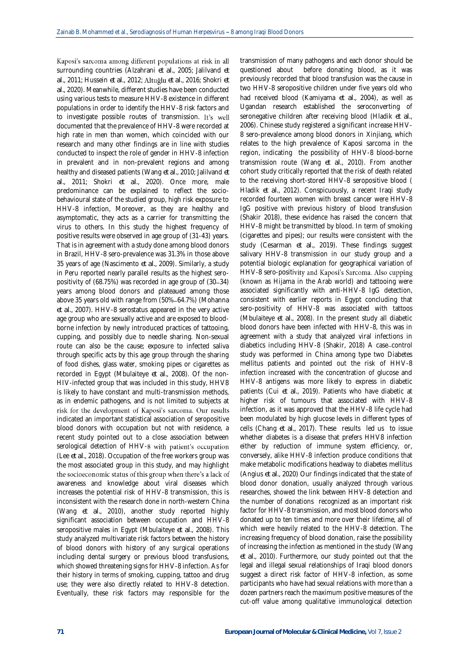Kaposi's sarcoma among different populations at risk in all surrounding countries (Alzahrani *et al.*, 2005; Jalilvand *et al.*, 2011; Hussein *et al.*, 2012; *et al.*, 2016; Shokri *et al.*, 2020). Meanwhile, different studies have been conducted using various tests to measure HHV-8 existence in different populations in order to identify the HHV-8 risk factors and to investigate possible routes of transmission. It's well documented that the prevalence of HHV-8 were recorded at high rate in men than women, which coincided with our research and many other findings are in line with studies conducted to inspect the role of gender in HHV-8 infection in prevalent and in non-prevalent regions and among healthy and diseased patients (Wang *et al.*, 2010; Jalilvand *et al.*, 2011; Shokri *et al.*, 2020). Once more, male predominance can be explained to reflect the sociobehavioural state of the studied group, high risk exposure to HHV-8 infection, Moreover, as they are healthy and asymptomatic, they acts as a carrier for transmitting the virus to others. In this study the highest frequency of positive results were observed in age group of (31-43) years. That is in agreement with a study done among blood donors in Brazil, HHV-8 sero-prevalence was 31.3% in those above 35 years of age (Nascimento *et al.*, 2009). Similarly, a study in Peru reported nearly parallel results as the highest seropositivity of (68.75%) was recorded in age group of (30-34) years among blood donors and plateaued among those above 35 years old with range from (50%-64.7%) (Mohanna *et al.*, 2007). HHV-8 serostatus appeared in the very active age group who are sexually active and are exposed to bloodborne infection by newly introduced practices of tattooing, cupping, and possibly due to needle sharing. Non-sexual route can also be the cause; exposure to infected saliva through specific acts by this age group through the sharing of food dishes, glass water, smoking pipes or cigarettes as recorded in Egypt (Mbulaiteye *et al.*, 2008). Of the non-HIV-infected group that was included in this study, HHV8 is likely to have constant and multi-transmission methods, as in endemic pathogens, and is not limited to subjects at risk for the development of Kaposi's sarcoma. Our results indicated an important statistical association of seropositive blood donors with occupation but not with residence, a recent study pointed out to a close association between serological detection of HHV-8 with patient's occupation (Lee *et al.*, 2018). Occupation of the free workers group was the most associated group in this study, and may highlight the socioeconomic status of this group when there's a lack of awareness and knowledge about viral diseases which increases the potential risk of HHV-8 transmission, this is inconsistent with the research done in north-western China (Wang *et al.*, 2010), another study reported highly significant association between occupation and HHV-8 seropositive males in Egypt (Mbulaiteye *et al.*, 2008). This study analyzed multivariate risk factors between the history of blood donors with history of any surgical operations including dental surgery or previous blood transfusions, which showed threatening signs for HHV-8 infection. As for their history in terms of smoking, cupping, tattoo and drug use; they were also directly related to HHV-8 detection. Eventually, these risk factors may responsible for the

transmission of many pathogens and each donor should be questioned about before donating blood, as it was previously recorded that blood transfusion was the cause in two HHV-8 seropositive children under five years old who had received blood (Kamiyama *et al.*, 2004), as well as Ugandan research established the seroconverting of seronegative children after receiving blood (Hladik *et al.*, 2006). Chinese study registered a significant increase HHV-8 sero-prevalence among blood donors in Xinjiang, which relates to the high prevalence of Kaposi sarcoma in the region, indicating the possibility of HHV-8 blood-borne transmission route (Wang *et al.*, 2010). From another cohort study critically reported that the risk of death related to the receiving short-stored HHV-8 seropositive blood ( Hladik *et al.*, 2012). Conspicuously, a recent Iraqi study recorded fourteen women with breast cancer were HHV-8 IgG positive with previous history of blood transfusion (Shakir 2018), these evidence has raised the concern that HHV-8 might be transmitted by blood. In term of smoking (cigarettes and pipes); our results were consistent with the study (Cesarman *et al.*, 2019). These findings suggest salivary HHV-8 transmission in our study group and a potential biologic explanation for geographical variation of HHV-8 sero-positivity and Kaposi's Sarcoma. Also cupping (known as Hijama in the Arab world) and tattooing were associated significantly with anti-HHV-8 IgG detection, consistent with earlier reports in Egypt concluding that sero-positivity of HHV-8 was associated with tattoos (Mbulaiteye *et al.*, 2008). In the present study all diabetic blood donors have been infected with HHV-8, this was in agreement with a study that analyzed viral infections in diabetics including HHV-8 (Shakir, 2018) A case control study was performed in China among type two Diabetes mellitus patients and pointed out the risk of HHV-8 infection increased with the concentration of glucose and HHV-8 antigens was more likely to express in diabetic patients (Cui *et al.*, 2019). Patients who have diabetic at higher risk of tumours that associated with HHV-8 infection, as it was approved that the HHV-8 life cycle had been modulated by high glucose levels in different types of cells (Chang *et al.*, 2017). These results led us to issue whether diabetes is a disease that prefers HHV8 infection either by reduction of immune system efficiency, or, conversely, alike HHV-8 infection produce conditions that make metabolic modifications headway to diabetes mellitus (Angius *et al.*, 2020) Our findings indicated that the state of blood donor donation, usually analyzed through various researches, showed the link between HHV-8 detection and the number of donations recognized as an important risk factor for HHV-8 transmission, and most blood donors who donated up to ten times and more over their lifetime, all of which were heavily related to the HHV-8 detection. The increasing frequency of blood donation, raise the possibility of increasing the infection as mentioned in the study (Wang *et al.*, 2010). Furthermore, our study pointed out that the legal and illegal sexual relationships of Iraqi blood donors suggest a direct risk factor of HHV-8 infection, as some participants who have had sexual relations with more than a dozen partners reach the maximum positive measures of the cut-off value among qualitative immunological detection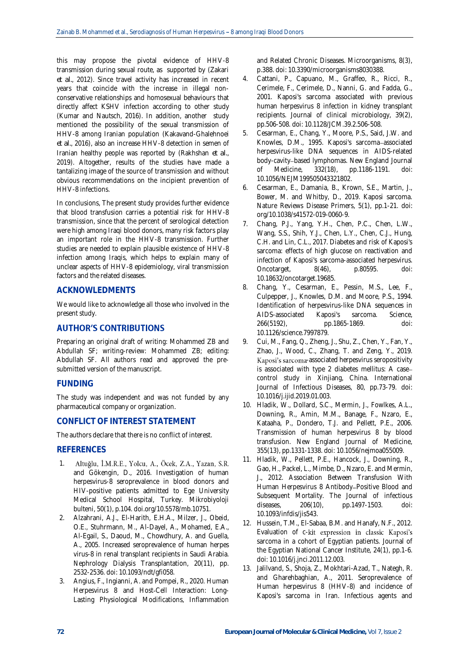this may propose the pivotal evidence of HHV-8 transmission during sexual route, as supported by (Zakari *et al.*, 2012). Since travel activity has increased in recent years that coincide with the increase in illegal nonconservative relationships and homosexual behaviours that directly affect KSHV infection according to other study (Kumar and Nautsch, 2016). In addition, another study mentioned the possibility of the sexual transmission of HHV-8 among Iranian population (Kakavand-Ghalehnoei *et al.*, 2016), also an increase HHV-8 detection in semen of Iranian healthy people was reported by (Rakhshan *et al.*, 2019). Altogether, results of the studies have made a tantalizing image of the source of transmission and without obvious recommendations on the incipient prevention of HHV-8 infections.

In conclusions, The present study provides further evidence that blood transfusion carries a potential risk for HHV-8 transmission, since that the percent of serological detection were high among Iraqi blood donors, many risk factors play an important role in the HHV-8 transmission. Further studies are needed to explain plausible existence of HHV-8 infection among Iraqis, which helps to explain many of unclear aspects of HHV-8 epidemiology, viral transmission factors and the related diseases.

## **ACKNOWLEDMENTS**

We would like to acknowledge all those who involved in the present study.

# **AUTHOR'S CONTRIBUTIONS**

Preparing an original draft of writing: Mohammed ZB and Abdullah SF; writing-review: Mohammed ZB; editing: Abdullah SF. All authors read and approved the presubmitted version of the manuscript.

## **FUNDING**

The study was independent and was not funded by any pharmaceutical company or organization.

## **CONFLICT OF INTEREST STATEMENT**

The authors declare that there is no conflict of interest.

## **REFERENCES**

- 1. Altuğlu, İ.M.R.E., Yolcu, A., Öcek, Z.A., Yazan, S.R. and Gökengin, D., 2016. Investigation of human herpesvirus-8 seroprevalence in blood donors and HIV-positive patients admitted to Ege University Medical School Hospital, Turkey. Mikrobiyoloji bulteni, 50(1), p.104. doi.org/10.5578/mb.10751.
- 2. Alzahrani, A.J., El-Harith, E.H.A., Milzer, J., Obeid, O.E., Stuhrmann, M., Al-Dayel, A., Mohamed, E.A., Al-Egail, S., Daoud, M., Chowdhury, A. and Guella, A., 2005. Increased seroprevalence of human herpes virus-8 in renal transplant recipients in Saudi Arabia. Nephrology Dialysis Transplantation, 20(11), pp. 2532-2536. doi: 10.1093/ndt/gfi058.
- 3. Angius, F., Ingianni, A. and Pompei, R., 2020. Human Herpesvirus 8 and Host-Cell Interaction: Long-Lasting Physiological Modifications, Inflammation

and Related Chronic Diseases. Microorganisms, 8(3), p.388. doi: 10.3390/microorganisms8030388.

- 4. Cattani, P., Capuano, M., Graffeo, R., Ricci, R., Cerimele, F., Cerimele, D., Nanni, G. and Fadda, G., 2001. Kaposi's sarcoma associated with previous human herpesvirus 8 infection in kidney transplant recipients. Journal of clinical microbiology, 39(2), pp.506-508. doi: 10.1128/JCM.39.2.506-508.
- 5. Cesarman, E., Chang, Y., Moore, P.S., Said, J.W. and Knowles, D.M., 1995. Kaposi's sarcoma-associated herpesvirus-like DNA sequences in AIDS-related body-cavity-based lymphomas. New England Journal of Medicine, 332(18), pp.1186-1191. doi: 10.1056/NEJM199505043321802.
- 6. Cesarman, E., Damania, B., Krown, S.E., Martin, J., Bower, M. and Whitby, D., 2019. Kaposi sarcoma. Nature Reviews Disease Primers, 5(1), pp.1-21. doi: org/10.1038/s41572-019-0060-9.
- 7. Chang, P.J., Yang, Y.H., Chen, P.C., Chen, L.W., Wang, S.S., Shih, Y.J., Chen, L.Y., Chen, C.J., Hung, C.H. and Lin, C.L., 2017. Diabetes and risk of Kaposi's sarcoma: effects of high glucose on reactivation and infection of Kaposi's sarcoma-associated herpesvirus. Oncotarget, 8(46), p.80595. doi: 10.18632/oncotarget.19685.
- 8. Chang, Y., Cesarman, E., Pessin, M.S., Lee, F., Culpepper, J., Knowles, D.M. and Moore, P.S., 1994. Identification of herpesvirus-like DNA sequences in AIDS-associated Kaposi's sarcoma. Science, 266(5192), pp.1865-1869. doi: 10.1126/science.7997879.
- 9. Cui, M., Fang, Q., Zheng, J., Shu, Z., Chen, Y., Fan, Y., Zhao, J., Wood, C., Zhang, T. and Zeng, Y., 2019. Kaposi's sarcoma-associated herpesvirus seropositivity is associated with type 2 diabetes mellitus: A case control study in Xinjiang, China. International Journal of Infectious Diseases, 80, pp.73-79. doi: 10.1016/j.ijid.2019.01.003.
- 10. Hladik, W., Dollard, S.C., Mermin, J., Fowlkes, A.L., Downing, R., Amin, M.M., Banage, F., Nzaro, E., Kataaha, P., Dondero, T.J. and Pellett, P.E., 2006. Transmission of human herpesvirus 8 by blood transfusion. New England Journal of Medicine, 355(13), pp.1331-1338. doi: 10.1056/nejmoa055009.
- 11. Hladik, W., Pellett, P.E., Hancock, J., Downing, R., Gao, H., Packel, L., Mimbe, D., Nzaro, E. and Mermin, J., 2012. Association Between Transfusion With Human Herpesvirus 8 Antibody-Positive Blood and Subsequent Mortality. The Journal of infectious diseases, 206(10), pp.1497-1503. doi: 10.1093/infdis/jis543.
- 12. Hussein, T.M., El-Sabaa, B.M. and Hanafy, N.F., 2012. Evaluation of c-kit expression in classic Kaposi's sarcoma in a cohort of Egyptian patients. Journal of the Egyptian National Cancer Institute, 24(1), pp.1-6. doi: 10.1016/j.jnci.2011.12.003.
- 13. Jalilvand, S., Shoja, Z., Mokhtari-Azad, T., Nategh, R. and Gharehbaghian, A., 2011. Seroprevalence of Human herpesvirus 8 (HHV-8) and incidence of Kaposi's sarcoma in Iran. Infectious agents and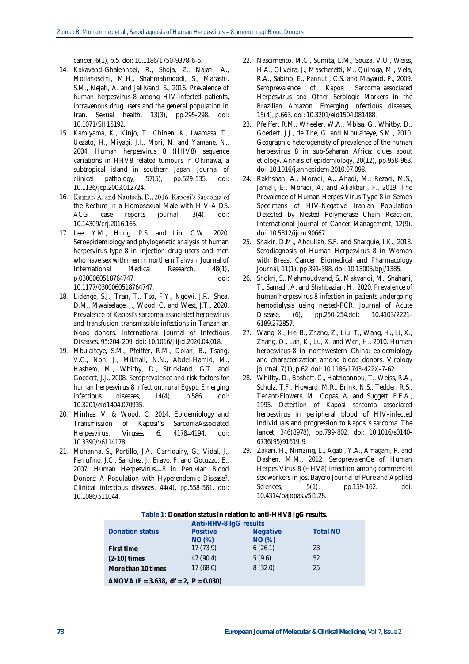cancer, 6(1), p.5. doi: 10.1186/1750-9378-6-5.

- 14. Kakavand-Ghalehnoei, R., Shoja, Z., Najafi, A., Mollahoseini, M.H., Shahmahmoodi, S., Marashi, S.M., Nejati, A. and Jalilvand, S., 2016. Prevalence of human herpesvirus-8 among HIV-infected patients, intravenous drug users and the general population in Iran. Sexual health, 13(3), pp.295-298. doi: 10.1071/SH15192.
- 15. Kamiyama, K., Kinjo, T., Chinen, K., Iwamasa, T., Uezato, H., Miyagi, J.I., Mori, N. and Yamane, N., 2004. Human herpesvirus 8 (HHV8) sequence variations in HHV8 related tumours in Okinawa, a subtropical island in southern Japan. Journal of clinical pathology, 57(5), pp.529-535. doi: 10.1136/jcp.2003.012724.
- 16. Kumar, A. and Nautsch, D., 2016. Kaposi's Sarcoma of the Rectum in a Homosexual Male with HIV-AIDS. ACG case reports journal, 3(4). doi: 10.14309/crj.2016.165.
- 17. Lee, Y.M., Hung, P.S. and Lin, C.W., 2020. Seroepidemiology and phylogenetic analysis of human herpesvirus type 8 in injection drug users and men who have sex with men in northern Taiwan. Journal of International Medical Research, 48(1), p.0300060518764747. doi: 10.1177/0300060518764747.
- 18. Lidenge, S.J., Tran, T., Tso, F.Y., Ngowi, J.R., Shea, D.M., Mwaiselage, J., Wood, C. and West, J.T., 2020. Prevalence of Kaposi's sarcoma-associated herpesvirus and transfusion-transmissible infections in Tanzanian blood donors. International Journal of Infectious Diseases. 95:204-209. doi: 10.1016/j.ijid.2020.04.018.
- 19. Mbulaiteye, S.M., Pfeiffer, R.M., Dolan, B., Tsang, V.C., Noh, J., Mikhail, N.N., Abdel-Hamid, M., Hashem, M., Whitby, D., Strickland, G.T. and Goedert, J.J., 2008. Seroprevalence and risk factors for human herpesvirus 8 infection, rural Egypt. Emerging infectious diseases, 14(4), p.586. doi: 10.3201/eid1404.070935.
- 20. Minhas, V. & Wood, C. 2014. Epidemiology and Transmission of Kaposi"s SarcomaAssociated Herpesvirus. *Viruses*, 6, 4178-4194. doi: 10.3390/v6114178.
- 21. Mohanna, S., Portillo, J.A., Carriquiry, G., Vidal, J., Ferrufino, J.C., Sanchez, J., Bravo, F. and Gotuzzo, E., 2007. Human Herpesvirus-8 in Peruvian Blood Donors: A Population with Hyperendemic Disease?. Clinical infectious diseases, 44(4), pp.558-561. doi: 10.1086/511044.
- 22. Nascimento, M.C., Sumita, L.M., Souza, V.U., Weiss, H.A., Oliveira, J., Mascheretti, M., Quiroga, M., Vela, R.A., Sabino, E., Pannuti, C.S. and Mayaud, P., 2009. Seroprevalence of Kaposi Sarcoma-associated Herpesvirus and Other Serologic Markers in the Brazilian Amazon. Emerging infectious diseases, 15(4), p.663. doi: 10.3201/eid1504.081488.
- 23. Pfeiffer, R.M., Wheeler, W.A., Mbisa, G., Whitby, D., Goedert, J.J., de Thé, G. and Mbulaiteye, S.M., 2010. Geographic heterogeneity of prevalence of the human herpesvirus 8 in sub-Saharan Africa: clues about etiology. Annals of epidemiology, 20(12), pp.958-963. doi: 10.1016/j.annepidem.2010.07.098.
- 24. Rakhshan, A., Moradi, A., Ahadi, M., Rezaei, M.S., Jamali, E., Moradi, A. and Aliakbari, F., 2019. The Prevalence of Human Herpes Virus Type 8 in Semen Specimens of HIV-Negative Iranian Population Detected by Nested Polymerase Chain Reaction. International Journal of Cancer Management, 12(9). doi: 10.5812/ijcm.90667.
- 25. Shakir, D.M., Abdullah, S.F. and Sharquie, I.K., 2018. Serodiagnosis of Human Herpesvirus 8 in Women with Breast Cancer. Biomedical and Pharmacology Journal, 11(1), pp.391-398. doi: 10.13005/bpj/1385.
- 26. Shokri, S., Mahmoudvand, S., Makvandi, M., Shahani, T., Samadi, A. and Shahbazian, H., 2020. Prevalence of human herpesvirus 8 infection in patients undergoing hemodialysis using nested-PCR. Journal of Acute Disease, (6), pp.250-254.doi: 10.4103/2221- 6189.272857.
- 27. Wang, X., He, B., Zhang, Z., Liu, T., Wang, H., Li, X., Zhang, Q., Lan, K., Lu, X. and Wen, H., 2010. Human herpesvirus-8 in northwestern China: epidemiology and characterization among blood donors. Virology journal, 7(1), p.62. doi: 10.1186/1743-422X-7-62.
- 28. Whitby, D., Boshoff, C., Hatzioannou, T., Weiss, R.A., Schulz, T.F., Howard, M.R., Brink, N.S., Tedder, R.S., Tenant-Flowers, M., Copas, A. and Suggett, F.E.A., 1995. Detection of Kaposi sarcoma associated herpesvirus in peripheral blood of HIV-infected individuals and progression to Kaposi's sarcoma. The lancet, 346(8978), pp.799-802. doi: 10.1016/s0140- 6736(95)91619-9.
- 29. Zakari, H., Nimzing, L., Agabi, Y.A., Amagam, P. and Dashen, M.M., 2012. SeroprevalenCe of Human Herpes Virus 8 (HHV8) infection among commercial sex workers in jos. Bayero Journal of Pure and Applied Sciences, 5(1), pp.159-162. doi: 10.4314/bajopas.v5i1.28.

| Table 1: Donation status in relation to anti-HHV8 IgG results. |  |
|----------------------------------------------------------------|--|
|----------------------------------------------------------------|--|

|                                            | Anti-HHV-8 lgG results |                 |                 |
|--------------------------------------------|------------------------|-----------------|-----------------|
| Donation status                            | <b>Positive</b>        | <b>Negative</b> | <b>Total NO</b> |
|                                            | NO(%)                  | NO(%)           |                 |
| First time                                 | 17(73.9)               | 6(26.1)         | 23              |
| $(2-10)$ times                             | 47 (90.4)              | 5(9.6)          | 52              |
| More than 10 times                         | 17(68.0)               | 8(32.0)         | 25              |
| ANOVA (F = $3.638$ , df = $2$ , P = 0.030) |                        |                 |                 |